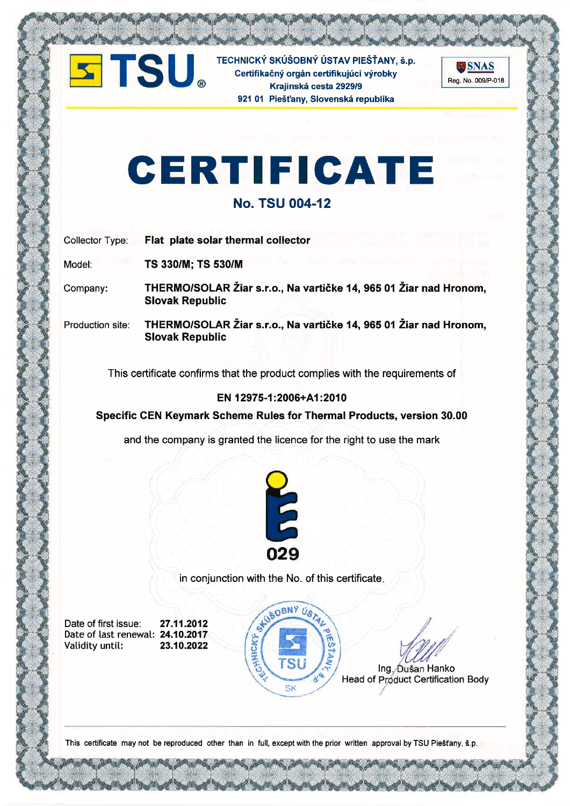

TECHNICKÝ SKÚŠOBNÝ ÚSTAV PIEŠŤANY, š.p.<br>Certifikačný orgán certifikujúci výrobky<br>Krajinská cesta 2929/9 Certifikačný orgán certifikujúci výrobky Krajinská cesta 2929/9 921 01 Piešťany, Slovenská republika



# CERTIFIGATE

## No. TSU OO4-12

Collector Type: Flat plate solar thermal collector

Model: TS 330/M; TS 530/M

Company: THERMO/SOLAR Žiar s.r.o., Na vartičke 14, 965 01 Žiar nad Hronom, Slovak Republic

Production site: THERMO/SOLAR Žiar s.r.o., Na vartičke í4, 965 o1Žiar nad Hronom, SIovak Republic

This certificate confirms that the product complies with the requirements of

## EN 12975-1:2006+A1:2010

Specific CEN Keymark Scheme Rules for Thermal Products, version 30.00

and the company is granted the licence for the right to use the mark



in conjunction with the No. of this certificate

Date of first issue: 27.11.2012 Date of last renewal: **24.10.2017**<br>Validity until: **23.10.2022** Validity until:





Ing , Dušan Hanko Head of Product Certification Body

This certificate may not be reproduced other than in full, except with the prior written approval by TSU Piešťany, š.p.